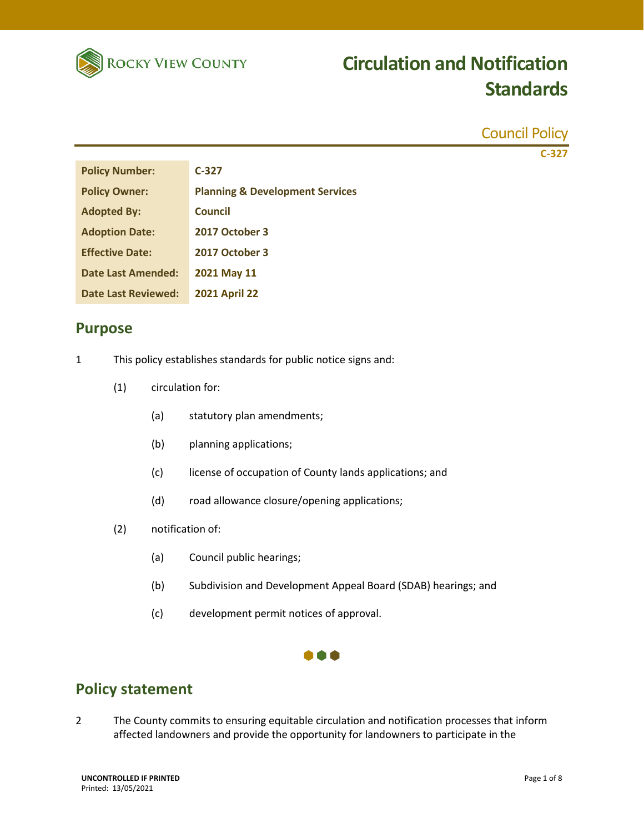

|                            |                                                                |                         | <b>Council Policy</b>                                                                                                                                                               |
|----------------------------|----------------------------------------------------------------|-------------------------|-------------------------------------------------------------------------------------------------------------------------------------------------------------------------------------|
|                            |                                                                |                         | $C-327$                                                                                                                                                                             |
| <b>Policy Number:</b>      |                                                                |                         | $C-327$                                                                                                                                                                             |
| <b>Policy Owner:</b>       |                                                                |                         | <b>Planning &amp; Development Services</b>                                                                                                                                          |
| <b>Adopted By:</b>         |                                                                |                         | <b>Council</b>                                                                                                                                                                      |
| <b>Adoption Date:</b>      |                                                                |                         | 2017 October 3                                                                                                                                                                      |
| <b>Effective Date:</b>     |                                                                |                         | 2017 October 3                                                                                                                                                                      |
| <b>Date Last Amended:</b>  |                                                                |                         | 2021 May 11                                                                                                                                                                         |
| <b>Date Last Reviewed:</b> |                                                                |                         | <b>2021 April 22</b>                                                                                                                                                                |
|                            | <b>Purpose</b>                                                 |                         |                                                                                                                                                                                     |
| 1                          | This policy establishes standards for public notice signs and: |                         |                                                                                                                                                                                     |
|                            | (1)                                                            | circulation for:        |                                                                                                                                                                                     |
|                            |                                                                | (a)                     | statutory plan amendments;                                                                                                                                                          |
|                            |                                                                | (b)                     | planning applications;                                                                                                                                                              |
|                            |                                                                | (c)                     | license of occupation of County lands applications; and                                                                                                                             |
|                            |                                                                | (d)                     | road allowance closure/opening applications;                                                                                                                                        |
|                            | (2)                                                            | notification of:        |                                                                                                                                                                                     |
|                            |                                                                | (a)                     | Council public hearings;                                                                                                                                                            |
|                            |                                                                | (b)                     | Subdivision and Development Appeal Board (SDAB) hearings; and                                                                                                                       |
|                            |                                                                | (c)                     | development permit notices of approval.                                                                                                                                             |
|                            |                                                                |                         |                                                                                                                                                                                     |
|                            |                                                                | <b>Policy statement</b> |                                                                                                                                                                                     |
| $\overline{2}$             |                                                                |                         | The County commits to ensuring equitable circulation and notification processes that inform<br>affected landowners and provide the opportunity for landowners to participate in the |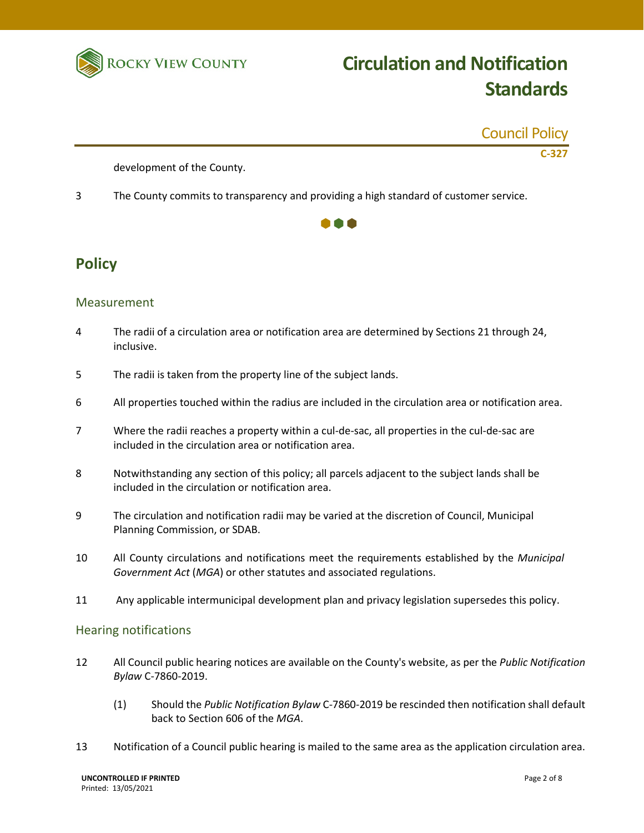

|                            | <b>Council Policy</b> |
|----------------------------|-----------------------|
|                            | C-327                 |
| development of the County. |                       |

3 The County commits to transparency and providing a high standard of customer service.



### **Policy**

#### Measurement

- 4 The radii of a circulation area or notification area are determined by Sections 21 through 24, inclusive.
- 5 The radii is taken from the property line of the subject lands.
- 6 All properties touched within the radius are included in the circulation area or notification area.
- 7 Where the radii reaches a property within a cul-de-sac, all properties in the cul-de-sac are included in the circulation area or notification area.
- 8 Notwithstanding any section of this policy; all parcels adjacent to the subject lands shall be included in the circulation or notification area.
- 9 The circulation and notification radii may be varied at the discretion of Council, Municipal Planning Commission, or SDAB.
- 10 All County circulations and notifications meet the requirements established by the *Municipal Government Act* (*MGA*) or other statutes and associated regulations.
- 11 Any applicable intermunicipal development plan and privacy legislation supersedes this policy.

#### Hearing notifications

- 12 All Council public hearing notices are available on the County's website, as per the *Public Notification Bylaw* C-7860-2019.
	- (1) Should the *Public Notification Bylaw* C-7860-2019 be rescinded then notification shall default back to Section 606 of the *MGA*.
- 13 Notification of a Council public hearing is mailed to the same area as the application circulation area.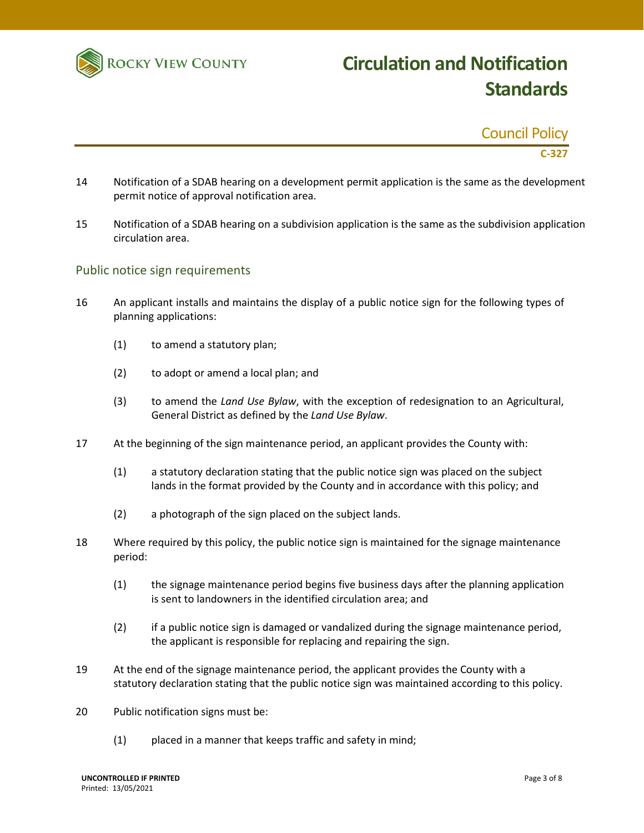

| <b>Council Policy</b> |         |
|-----------------------|---------|
|                       | $C-327$ |

- 14 Notification of a SDAB hearing on a development permit application is the same as the development permit notice of approval notification area.
- 15 Notification of a SDAB hearing on a subdivision application is the same as the subdivision application circulation area.

#### Public notice sign requirements

- 16 An applicant installs and maintains the display of a public notice sign for the following types of planning applications:
	- (1) to amend a statutory plan;
	- (2) to adopt or amend a local plan; and
	- (3) to amend the *Land Use Bylaw*, with the exception of redesignation to an Agricultural, General District as defined by the *Land Use Bylaw*.
- 17 At the beginning of the sign maintenance period, an applicant provides the County with:
	- (1) a statutory declaration stating that the public notice sign was placed on the subject lands in the format provided by the County and in accordance with this policy; and
	- (2) a photograph of the sign placed on the subject lands.
- 18 Where required by this policy, the public notice sign is maintained for the signage maintenance period:
	- (1) the signage maintenance period begins five business days after the planning application is sent to landowners in the identified circulation area; and
	- (2) if a public notice sign is damaged or vandalized during the signage maintenance period, the applicant is responsible for replacing and repairing the sign.
- 19 At the end of the signage maintenance period, the applicant provides the County with a statutory declaration stating that the public notice sign was maintained according to this policy.
- 20 Public notification signs must be:
	- (1) placed in a manner that keeps traffic and safety in mind;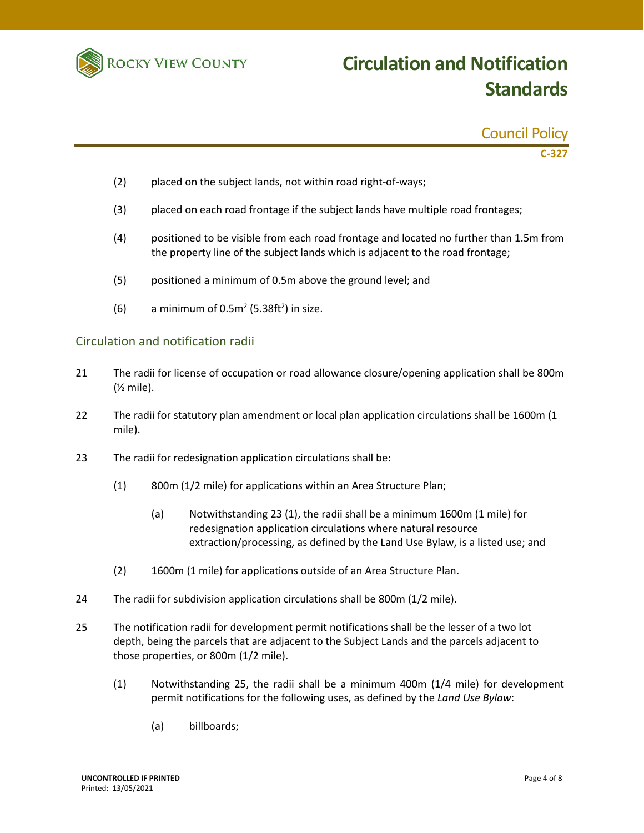

| <b>Council Policy</b> |  |  |
|-----------------------|--|--|
|                       |  |  |

**C-327**

- (2) placed on the subject lands, not within road right-of-ways;
- (3) placed on each road frontage if the subject lands have multiple road frontages;
- (4) positioned to be visible from each road frontage and located no further than 1.5m from the property line of the subject lands which is adjacent to the road frontage;
- (5) positioned a minimum of 0.5m above the ground level; and
- (6) a minimum of  $0.5m^2$  (5.38ft<sup>2</sup>) in size.

#### Circulation and notification radii

- 21 The radii for license of occupation or road allowance closure/opening application shall be 800m (½ mile).
- 22 The radii for statutory plan amendment or local plan application circulations shall be 1600m (1 mile).
- 23 The radii for redesignation application circulations shall be:
	- (1) 800m (1/2 mile) for applications within an Area Structure Plan;
		- (a) Notwithstanding 23 (1), the radii shall be a minimum 1600m (1 mile) for redesignation application circulations where natural resource extraction/processing, as defined by the Land Use Bylaw, is a listed use; and
	- (2) 1600m (1 mile) for applications outside of an Area Structure Plan.
- 24 The radii for subdivision application circulations shall be 800m (1/2 mile).
- 25 The notification radii for development permit notifications shall be the lesser of a two lot depth, being the parcels that are adjacent to the Subject Lands and the parcels adjacent to those properties, or 800m (1/2 mile).
	- (1) Notwithstanding 25, the radii shall be a minimum 400m (1/4 mile) for development permit notifications for the following uses, as defined by the *Land Use Bylaw*:
		- (a) billboards;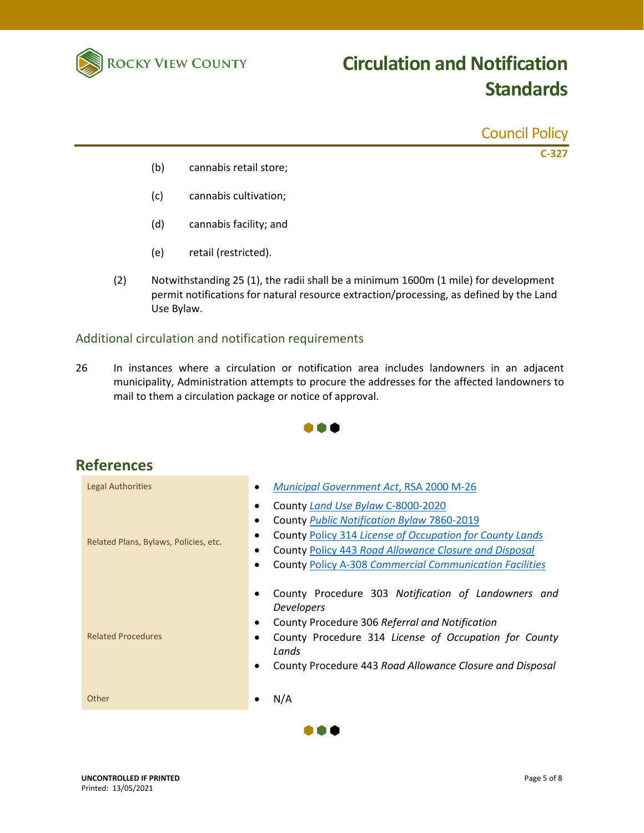

|     |                        | <b>Council Policy</b> |
|-----|------------------------|-----------------------|
| (b) | cannabis retail store; | $C-327$               |
| (c) | cannabis cultivation;  |                       |
| (d) | cannabis facility; and |                       |
| (e) | retail (restricted).   |                       |
|     |                        |                       |

(2) Notwithstanding 25 (1), the radii shall be a minimum 1600m (1 mile) for development permit notifications for natural resource extraction/processing, as defined by the Land Use Bylaw.

#### Additional circulation and notification requirements

26 In instances where a circulation or notification area includes landowners in an adjacent municipality, Administration attempts to procure the addresses for the affected landowners to mail to them a circulation package or notice of approval.



| References                            |                                                                                                                                                                                                                                                                             |  |  |  |
|---------------------------------------|-----------------------------------------------------------------------------------------------------------------------------------------------------------------------------------------------------------------------------------------------------------------------------|--|--|--|
| <b>Legal Authorities</b>              | <b>Municipal Government Act, RSA 2000 M-26</b>                                                                                                                                                                                                                              |  |  |  |
| Related Plans, Bylaws, Policies, etc. | County Land Use Bylaw C-8000-2020<br>County Public Notification Bylaw 7860-2019<br>County Policy 314 License of Occupation for County Lands<br>County Policy 443 Road Allowance Closure and Disposal<br>٠<br><b>County Policy A-308 Commercial Communication Facilities</b> |  |  |  |
| <b>Related Procedures</b>             | County Procedure 303 Notification of Landowners and<br><b>Developers</b><br>County Procedure 306 Referral and Notification<br>County Procedure 314 License of Occupation for County<br>Lands<br>County Procedure 443 Road Allowance Closure and Disposal                    |  |  |  |
| Other                                 | N/A                                                                                                                                                                                                                                                                         |  |  |  |

### **Ref**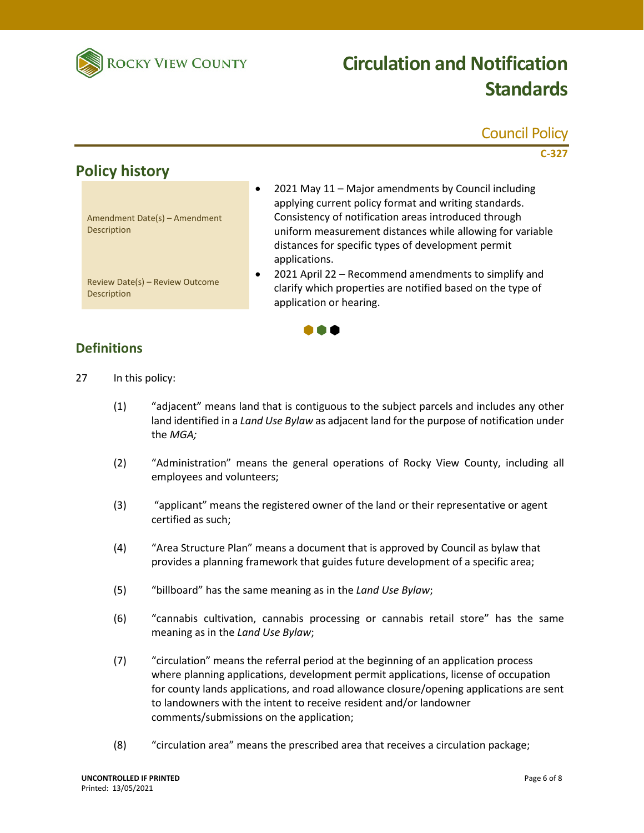

### Council Policy

**C-327**

### **Policy history**

| Amendment Date(s) – Amendment |  |
|-------------------------------|--|
| <b>Description</b>            |  |

• 2021 May 11 – Major amendments by Council including applying current policy format and writing standards. Consistency of notification areas introduced through uniform measurement distances while allowing for variable distances for specific types of development permit applications.

Review Date(s) – Review Outcome Description

• 2021 April 22 – Recommend amendments to simplify and clarify which properties are notified based on the type of application or hearing.

### **Definitions**

- 27 In this policy:
	- (1) "adjacent" means land that is contiguous to the subject parcels and includes any other land identified in a *Land Use Bylaw* as adjacent land for the purpose of notification under the *MGA;*

 $\bullet \bullet \bullet$ 

- (2) "Administration" means the general operations of Rocky View County, including all employees and volunteers;
- (3) "applicant" means the registered owner of the land or their representative or agent certified as such;
- (4) "Area Structure Plan" means a document that is approved by Council as bylaw that provides a planning framework that guides future development of a specific area;
- (5) "billboard" has the same meaning as in the *Land Use Bylaw*;
- (6) "cannabis cultivation, cannabis processing or cannabis retail store" has the same meaning as in the *Land Use Bylaw*;
- (7) "circulation" means the referral period at the beginning of an application process where planning applications, development permit applications, license of occupation for county lands applications, and road allowance closure/opening applications are sent to landowners with the intent to receive resident and/or landowner comments/submissions on the application;
- (8) "circulation area" means the prescribed area that receives a circulation package;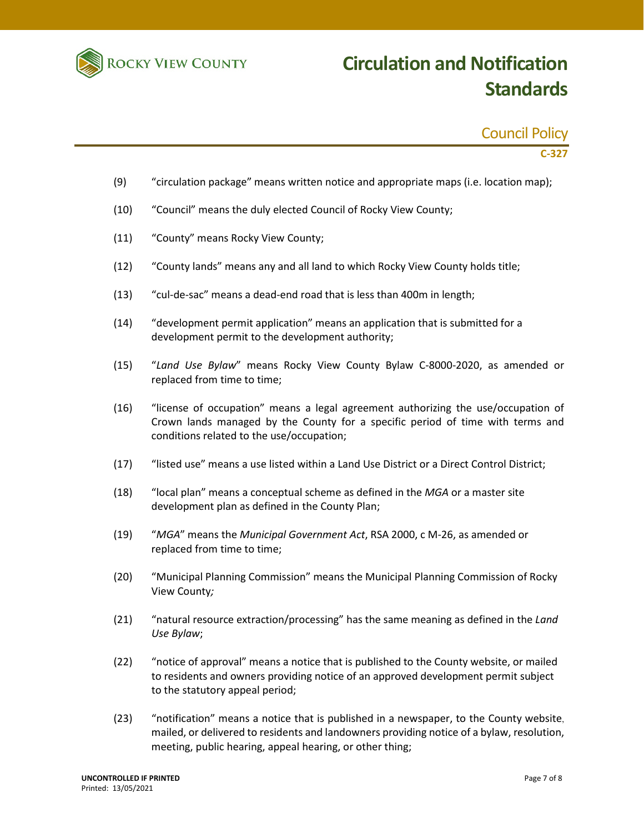

### Council Policy

**C-327**

- (9) "circulation package" means written notice and appropriate maps (i.e. location map);
- (10) "Council" means the duly elected Council of Rocky View County;
- (11) "County" means Rocky View County;
- (12) "County lands" means any and all land to which Rocky View County holds title;
- (13) "cul-de-sac" means a dead-end road that is less than 400m in length;
- (14) "development permit application" means an application that is submitted for a development permit to the development authority;
- (15) "*Land Use Bylaw*" means Rocky View County Bylaw C-8000-2020, as amended or replaced from time to time;
- (16) "license of occupation" means a legal agreement authorizing the use/occupation of Crown lands managed by the County for a specific period of time with terms and conditions related to the use/occupation;
- (17) "listed use" means a use listed within a Land Use District or a Direct Control District;
- (18) "local plan" means a conceptual scheme as defined in the *MGA* or a master site development plan as defined in the County Plan;
- (19) "*MGA*" means the *Municipal Government Act*, RSA 2000, c M-26, as amended or replaced from time to time;
- (20) "Municipal Planning Commission" means the Municipal Planning Commission of Rocky View County*;*
- (21) "natural resource extraction/processing" has the same meaning as defined in the *Land Use Bylaw*;
- (22) "notice of approval" means a notice that is published to the County website, or mailed to residents and owners providing notice of an approved development permit subject to the statutory appeal period;
- (23) "notification" means a notice that is published in a newspaper, to the County website, mailed, or delivered to residents and landowners providing notice of a bylaw, resolution, meeting, public hearing, appeal hearing, or other thing;